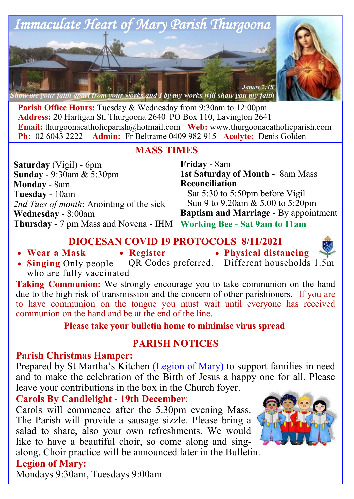

**Parish Office Hours:** Tuesday & Wednesday from 9:30am to 12:00pm **Address:** 20 Hartigan St, Thurgoona 2640 PO Box 110, Lavington 2641 **Email:** thurgoonacatholicparish@hotmail.com **Web:** www.thurgoonacatholicparish.com **Ph:** 02 6043 2222 **Admin:** Fr Beltrame 0409 982 915 **Acolyte:** Denis Golden

**MASS TIMES**

**Saturday** (Vigil) - 6pm **Sunday -** 9:30am & 5:30pm **Monday -** 8am **Tuesday** - 10am *2nd Tues of month*: Anointing of the sick **Wednesday** - 8:00am **Thursday -** 7 pm Mass and Novena - IHM

**Friday -** 8am **1st Saturday of Month** - 8am Mass **Reconciliation**  Sat 5:30 to 5:50pm before Vigil Sun 9 to 9.20am & 5.00 to 5:20pm **Baptism and Marriage -** By appointment **Working Bee - Sat 9am to 11am**

**DIOCESAN COVID 19 PROTOCOLS 8/11/2021**

- **Wear a Mask**
- **Register**
- **Physical distancing**



QR Codes preferred. Different households 1.5m • **Singing** Only people who are fully vaccinated

**Taking Communion:** We strongly encourage you to take communion on the hand due to the high risk of transmission and the concern of other parishioners. If you are to have communion on the tongue you must wait until everyone has received communion on the hand and be at the end of the line.

**Please take your bulletin home to minimise virus spread** 

# **PARISH NOTICES**

# **Parish Christmas Hamper:**

Prepared by St Martha's Kitchen (Legion of Mary) to support families in need and to make the celebration of the Birth of Jesus a happy one for all. Please leave your contributions in the box in the Church foyer.

**Carols By Candlelight - 19th December**:

Carols will commence after the 5.30pm evening Mass. The Parish will provide a sausage sizzle. Please bring a salad to share, also your own refreshments. We would like to have a beautiful choir, so come along and sing-

along. Choir practice will be announced later in the Bulletin.

# **Legion of Mary:**

Mondays 9:30am, Tuesdays 9:00am

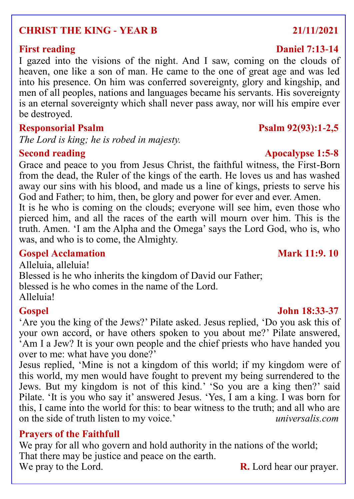# **CHRIST THE KING - YEAR B 21/11/2021**

I gazed into the visions of the night. And I saw, coming on the clouds of heaven, one like a son of man. He came to the one of great age and was led into his presence. On him was conferred sovereignty, glory and kingship, and men of all peoples, nations and languages became his servants. His sovereignty is an eternal sovereignty which shall never pass away, nor will his empire ever be destroyed.

### **Responsorial Psalm Psalm 92(93):1-2,5**

*The Lord is king; he is robed in majesty.*

Grace and peace to you from Jesus Christ, the faithful witness, the First-Born from the dead, the Ruler of the kings of the earth. He loves us and has washed away our sins with his blood, and made us a line of kings, priests to serve his God and Father; to him, then, be glory and power for ever and ever. Amen.

It is he who is coming on the clouds; everyone will see him, even those who pierced him, and all the races of the earth will mourn over him. This is the truth. Amen. 'I am the Alpha and the Omega' says the Lord God, who is, who was, and who is to come, the Almighty.

### **Gospel Acclamation Mark 11:9. 10**

Alleluia, alleluia! Blessed is he who inherits the kingdom of David our Father; blessed is he who comes in the name of the Lord. Alleluia!

'Are you the king of the Jews?' Pilate asked. Jesus replied, 'Do you ask this of your own accord, or have others spoken to you about me?' Pilate answered, 'Am I a Jew? It is your own people and the chief priests who have handed you over to me: what have you done?'

Jesus replied, 'Mine is not a kingdom of this world; if my kingdom were of this world, my men would have fought to prevent my being surrendered to the Jews. But my kingdom is not of this kind.' 'So you are a king then?' said Pilate. 'It is you who say it' answered Jesus. 'Yes, I am a king. I was born for this, I came into the world for this: to bear witness to the truth; and all who are on the side of truth listen to my voice.' *universalis.com*

# **Prayers of the Faithfull**

We pray for all who govern and hold authority in the nations of the world; That there may be justice and peace on the earth. We pray to the Lord. **R.** Lord hear our prayer.

# **First reading Daniel 7:13-14**

### **Second reading Apocalypse 1:5-8**

### **Gospel John 18:33-37**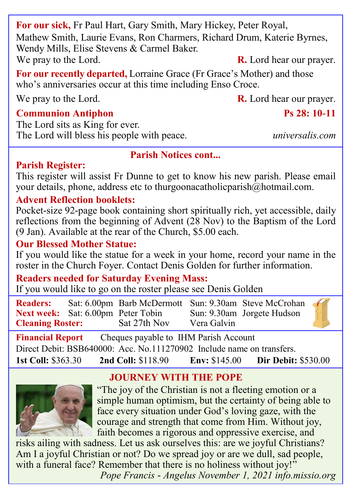**For our sick,** Fr Paul Hart, Gary Smith, Mary Hickey, Peter Royal, Mathew Smith, Laurie Evans, Ron Charmers, Richard Drum, Katerie Byrnes, Wendy Mills, Elise Stevens & Carmel Baker. We pray to the Lord. **R.** Lord hear our prayer.

**For our recently departed,** Lorraine Grace (Fr Grace's Mother) and those who's anniversaries occur at this time including Enso Croce.

### **Communion Antiphon Ps 28: 10-11**

The Lord sits as King for ever. The Lord will bless his people with peace. *universalis.com*

### **Parish Notices cont...**

### **Parish Register:**

This register will assist Fr Dunne to get to know his new parish. Please email your details, phone, address etc to thurgoonacatholicparish@hotmail.com.

# **Advent Reflection booklets:**

Pocket-size 92-page book containing short spiritually rich, yet accessible, daily reflections from the beginning of Advent (28 Nov) to the Baptism of the Lord (9 Jan). Available at the rear of the Church, \$5.00 each.

# **Our Blessed Mother Statue:**

If you would like the statue for a week in your home, record your name in the roster in the Church Foyer. Contact Denis Golden for further information.

# **Readers needed for Saturday Evening Mass:**

If you would like to go on the roster please see Denis Golden

| <b>Readers:</b>                           | Sat: 6.00pm Barb McDermott Sun: 9.30am Steve McCrohan |             |                            | $\epsilon$ |  |
|-------------------------------------------|-------------------------------------------------------|-------------|----------------------------|------------|--|
| <b>Next week:</b> Sat: 6.00pm Peter Tobin |                                                       |             | Sun: 9.30am Jorgete Hudson |            |  |
| <b>Cleaning Roster:</b>                   | Sat 27th Nov                                          | Vera Galvin |                            |            |  |

**Financial Report** Cheques payable to IHM Parish Account

Direct Debit: BSB640000: Acc. No.111270902 Include name on transfers.

**1st Coll:** \$363.30 **2nd Coll:** \$118.90 **Env:** \$145.00 **Dir Debit:** \$530.00

# **JOURNEY WITH THE POPE**



"The joy of the Christian is not a fleeting emotion or a simple human optimism, but the certainty of being able to face every situation under God's loving gaze, with the courage and strength that come from Him. Without joy, faith becomes a rigorous and oppressive exercise, and

risks ailing with sadness. Let us ask ourselves this: are we joyful Christians? Am I a joyful Christian or not? Do we spread joy or are we dull, sad people, with a funeral face? Remember that there is no holiness without joy!" *Pope Francis - Angelus November 1, 2021 info.missio.org*

We pray to the Lord. **R.** Lord hear our prayer.